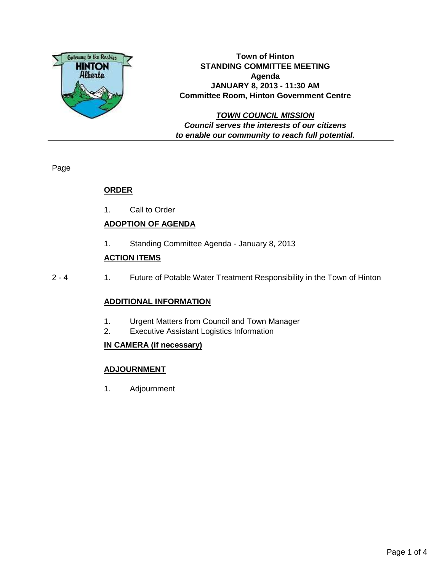

**Town of Hinton STANDING COMMITTEE MEETING Agenda JANUARY 8, 2013 - 11:30 AM Committee Room, Hinton Government Centre**

**TOWN COUNCIL MISSION Council serves the interests of our citizens to enable our community to reach full potential.**

Page

# **ORDER**

1. Call to Order

# **ADOPTION OF AGENDA**

1. Standing Committee Agenda - January 8, 2013

# **ACTION ITEMS**

2 - 4 1. Future of Potable Water Treatment Responsibility in the Town of Hinton

## **ADDITIONAL INFORMATION**

- 1. Urgent Matters from Council and Town Manager
- 2. Executive Assistant Logistics Information

## **IN CAMERA (if necessary)**

## **ADJOURNMENT**

1. Adjournment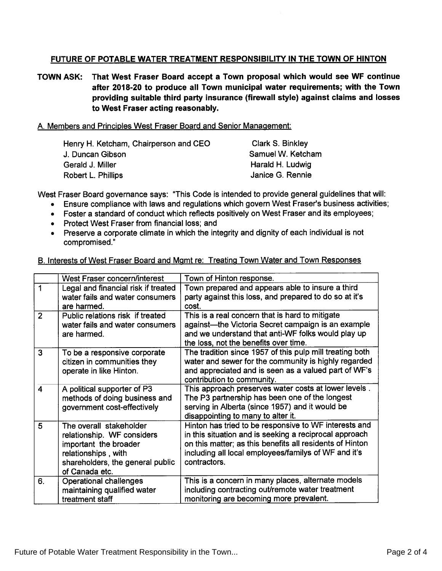#### FUTURE OF POTABLE WATER TREATMENT RESPONSIBILITY IN THE TOWN OF HINTON

TOWN ASK: That West Fraser Board accep<sup>t</sup> <sup>a</sup> Town proposal which would see WF continue after 2018-20 to produce all Town municipal water requirements; with the Town providing suitable third party insurance (firewall style) against claims and losses to West Fraser acting reasonably.

#### A. Members and Principles West Fraser Board and Senior Management:

| Henry H. Ketcham, Chairperson and CEO | Clark S. Binkley  |
|---------------------------------------|-------------------|
| J. Duncan Gibson                      | Samuel W. Ketcham |
| Gerald J. Miller                      | Harald H. Ludwig  |
| Robert L. Phillips                    | Janice G. Rennie  |
|                                       |                   |

West Fraser Board governance says: "This Code is intended to provide genera<sup>l</sup> guidelines that will:

- Ensure compliance with laws and regulations which govern West Fraser's business activities;
- Foster <sup>a</sup> standard of conduct which reflects positively on West Fraser and its employees;
- Protect West Fraser from financial loss; and
- Preserve <sup>a</sup> corporate climate in which the integrity and dignity of each individual is not compromised."

| B. Interests of West Fraser Board and Mgmt re: Treating Town Water and Town Responses |  |  |  |  |  |
|---------------------------------------------------------------------------------------|--|--|--|--|--|
|                                                                                       |  |  |  |  |  |

|                | West Fraser concern/interest                                                                                                                                | Town of Hinton response.                                                                                                                                                                                                                            |
|----------------|-------------------------------------------------------------------------------------------------------------------------------------------------------------|-----------------------------------------------------------------------------------------------------------------------------------------------------------------------------------------------------------------------------------------------------|
| 1              | Legal and financial risk if treated<br>water fails and water consumers<br>are harmed.                                                                       | Town prepared and appears able to insure a third<br>party against this loss, and prepared to do so at it's<br>cost.                                                                                                                                 |
| $\overline{2}$ | Public relations risk if treated<br>water fails and water consumers<br>are harmed.                                                                          | This is a real concern that is hard to mitigate<br>against-the Victoria Secret campaign is an example<br>and we understand that anti-WF folks would play up<br>the loss, not the benefits over time.                                                |
| 3              | To be a responsive corporate<br>citizen in communities they<br>operate in like Hinton.                                                                      | The tradition since 1957 of this pulp mill treating both<br>water and sewer for the community is highly regarded<br>and appreciated and is seen as a valued part of WF's<br>contribution to community.                                              |
| 4              | A political supporter of P3<br>methods of doing business and<br>government cost-effectively                                                                 | This approach preserves water costs at lower levels.<br>The P3 partnership has been one of the longest<br>serving in Alberta (since 1957) and it would be<br>disappointing to many to alter it.                                                     |
| 5              | The overall stakeholder<br>relationship. WF considers<br>important the broader<br>relationships, with<br>shareholders, the general public<br>of Canada etc. | Hinton has tried to be responsive to WF interests and<br>in this situation and is seeking a reciprocal approach<br>on this matter; as this benefits all residents of Hinton<br>including all local employees/familys of WF and it's<br>contractors. |
| 6.             | Operational challenges<br>maintaining qualified water<br>treatment staff                                                                                    | This is a concern in many places, alternate models<br>including contracting out/remote water treatment<br>monitoring are becoming more prevalent.                                                                                                   |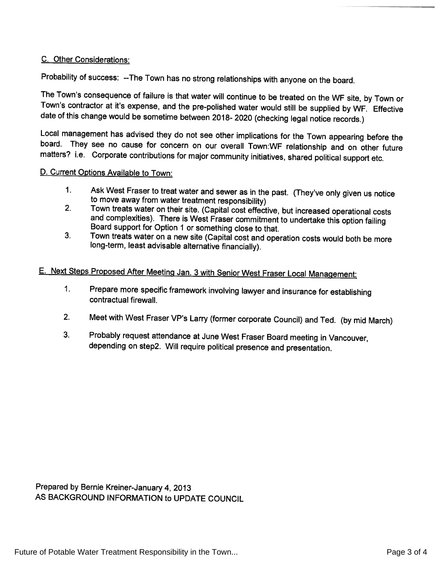#### C. Other Considerations:

Probability of success: --The Town has no strong relationships with anyone on the board.

The Town's consequence of failure is that water will continue to be treated on the WF site, by Town or Town's contractor at it's expense, and the pre-polished water would still be supplied by WF. Effective date of this cha

Local management has advised they do not see other implications for the Town appearing before the board. They see no cause for concern on our overall Town:WF relationship and on other future matters? i.e. Corporate contributions for major community initiatives, shared political support etc.

#### D. Current Options Available to Town:

- 
- 1. Ask West Fraser to treat water and sewer as in the past. (They've only given us notice<br>to move away from water treatment responsibility)<br>2. Town treats water on their site. (Capital cost effective, but increased operati
- 3. Town treats water on <sup>a</sup> new site (Capital cost and operation costs would both be more long-term, least advisable alternative financially).

# E. Next Steps Proposed After Meeting Jan. <sup>3</sup> with Senior West Fraser Local Management:

- 1. Prepare more specific framework involving lawyer and insurance for establishing contractual firewall.
- 2. Meet with West Fraser VP's Larry (former corporate Council) and Ted. (by mid March)
- 3. Probably request attendance at June West Fraser Board meeting in Vancouver, depending on step2. Will require political presence and presentation.

Prepared by Bernie Kreiner-January 4, <sup>2013</sup> AS BACKGROUND INFORMATION to UPDATE COUNCIL